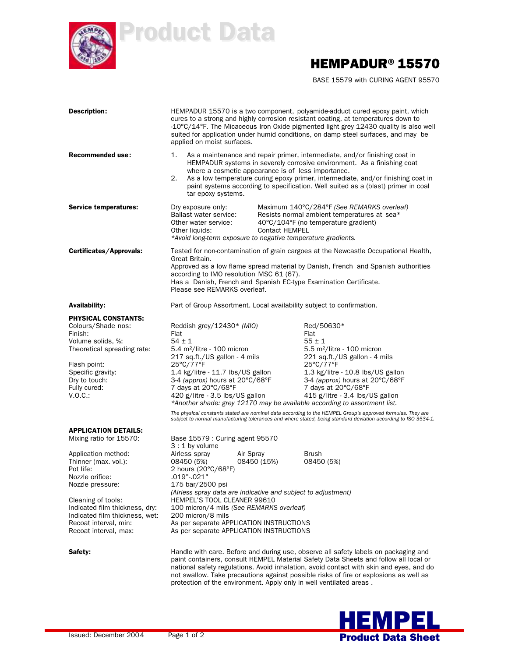

Product Data

## HEMPADUR®15570

BASE 15579 with CURING AGENT 95570

| <b>Description:</b>                                                                                                                                                                                               | HEMPADUR 15570 is a two component, polyamide-adduct cured epoxy paint, which<br>cures to a strong and highly corrosion resistant coating, at temperatures down to<br>-10°C/14°F. The Micaceous Iron Oxide pigmented light grey 12430 quality is also well<br>suited for application under humid conditions, on damp steel surfaces, and may be<br>applied on moist surfaces.                                                           |                       |                                                                                                                                                                                                                                                                                                                                                                                                                                                                                                                                                                           |
|-------------------------------------------------------------------------------------------------------------------------------------------------------------------------------------------------------------------|----------------------------------------------------------------------------------------------------------------------------------------------------------------------------------------------------------------------------------------------------------------------------------------------------------------------------------------------------------------------------------------------------------------------------------------|-----------------------|---------------------------------------------------------------------------------------------------------------------------------------------------------------------------------------------------------------------------------------------------------------------------------------------------------------------------------------------------------------------------------------------------------------------------------------------------------------------------------------------------------------------------------------------------------------------------|
| <b>Recommended use:</b>                                                                                                                                                                                           | 1.<br>where a cosmetic appearance is of less importance.<br>2.<br>tar epoxy systems.                                                                                                                                                                                                                                                                                                                                                   |                       | As a maintenance and repair primer, intermediate, and/or finishing coat in<br>HEMPADUR systems in severely corrosive environment. As a finishing coat<br>As a low temperature curing epoxy primer, intermediate, and/or finishing coat in<br>paint systems according to specification. Well suited as a (blast) primer in coal                                                                                                                                                                                                                                            |
| Service temperatures:                                                                                                                                                                                             | Dry exposure only:<br>Ballast water service:<br>Other water service:<br>Other liquids:<br>*Avoid long-term exposure to negative temperature gradients.                                                                                                                                                                                                                                                                                 | <b>Contact HEMPEL</b> | Maximum 140°C/284°F (See REMARKS overleaf)<br>Resists normal ambient temperatures at sea*<br>40°C/104°F (no temperature gradient)                                                                                                                                                                                                                                                                                                                                                                                                                                         |
| Certificates/Approvals:                                                                                                                                                                                           | Tested for non-contamination of grain cargoes at the Newcastle Occupational Health,<br>Great Britain.<br>Approved as a low flame spread material by Danish, French and Spanish authorities<br>according to IMO resolution MSC 61 (67).<br>Has a Danish, French and Spanish EC-type Examination Certificate.<br>Please see REMARKS overleaf.                                                                                            |                       |                                                                                                                                                                                                                                                                                                                                                                                                                                                                                                                                                                           |
| <b>Availability:</b>                                                                                                                                                                                              | Part of Group Assortment. Local availability subject to confirmation.                                                                                                                                                                                                                                                                                                                                                                  |                       |                                                                                                                                                                                                                                                                                                                                                                                                                                                                                                                                                                           |
| <b>PHYSICAL CONSTANTS:</b><br>Colours/Shade nos:<br>Finish:<br>Volume solids, %:<br>Theoretical spreading rate:<br>Flash point:<br>Specific gravity:<br>Dry to touch:<br>Fully cured:<br>V.O.C.                   | Reddish grey/ $12430*$ (MIO)<br>Flat<br>$54 \pm 1$<br>$5.4 \text{ m}^2$ /litre - 100 micron<br>217 sq.ft./US gallon - 4 mils<br>25°C/77°F<br>1.4 kg/litre - 11.7 lbs/US gallon<br>3-4 (approx) hours at 20°C/68°F<br>7 days at 20°C/68°F<br>420 g/litre - 3.5 lbs/US gallon                                                                                                                                                            |                       | Red/50630*<br>Flat<br>$55 \pm 1$<br>$5.5$ m <sup>2</sup> /litre - 100 micron<br>221 sq.ft./US gallon - 4 mils<br>25°C/77°F<br>1.3 kg/litre - 10.8 lbs/US gallon<br>3-4 (approx) hours at 20°C/68°F<br>7 days at 20°C/68°F<br>415 g/litre - 3.4 lbs/US gallon<br>*Another shade: grey 12170 may be available according to assortment list.<br>The physical constants stated are nominal data according to the HEMPEL Group's approved formulas. They are<br>subject to normal manufacturing tolerances and where stated, being standard deviation according to ISO 3534-1. |
| <b>APPLICATION DETAILS:</b><br>Mixing ratio for 15570:<br>Application method:<br>Thinner (max. vol.):<br>Pot life:<br>Nozzle orifice:<br>Nozzle pressure:<br>Cleaning of tools:<br>Indicated film thickness, dry: | Base 15579 : Curing agent 95570<br>$3:1$ by volume<br>Airless spray<br>Air Spray<br>08450 (5%)<br>2 hours (20°C/68°F)<br>$.019-.021"$<br>175 bar/2500 psi<br>(Airless spray data are indicative and subject to adjustment)<br>HEMPEL'S TOOL CLEANER 99610                                                                                                                                                                              | 08450 (15%)           | <b>Brush</b><br>08450 (5%)                                                                                                                                                                                                                                                                                                                                                                                                                                                                                                                                                |
| Indicated film thickness, wet:<br>Recoat interval, min:<br>Recoat interval, max:                                                                                                                                  | 100 micron/4 mils (See REMARKS overleaf)<br>200 micron/8 mils<br>As per separate APPLICATION INSTRUCTIONS<br>As per separate APPLICATION INSTRUCTIONS                                                                                                                                                                                                                                                                                  |                       |                                                                                                                                                                                                                                                                                                                                                                                                                                                                                                                                                                           |
| Safety:                                                                                                                                                                                                           | Handle with care. Before and during use, observe all safety labels on packaging and<br>paint containers, consult HEMPEL Material Safety Data Sheets and follow all local or<br>national safety regulations. Avoid inhalation, avoid contact with skin and eyes, and do<br>not swallow. Take precautions against possible risks of fire or explosions as well as<br>protection of the environment. Apply only in well ventilated areas. |                       |                                                                                                                                                                                                                                                                                                                                                                                                                                                                                                                                                                           |